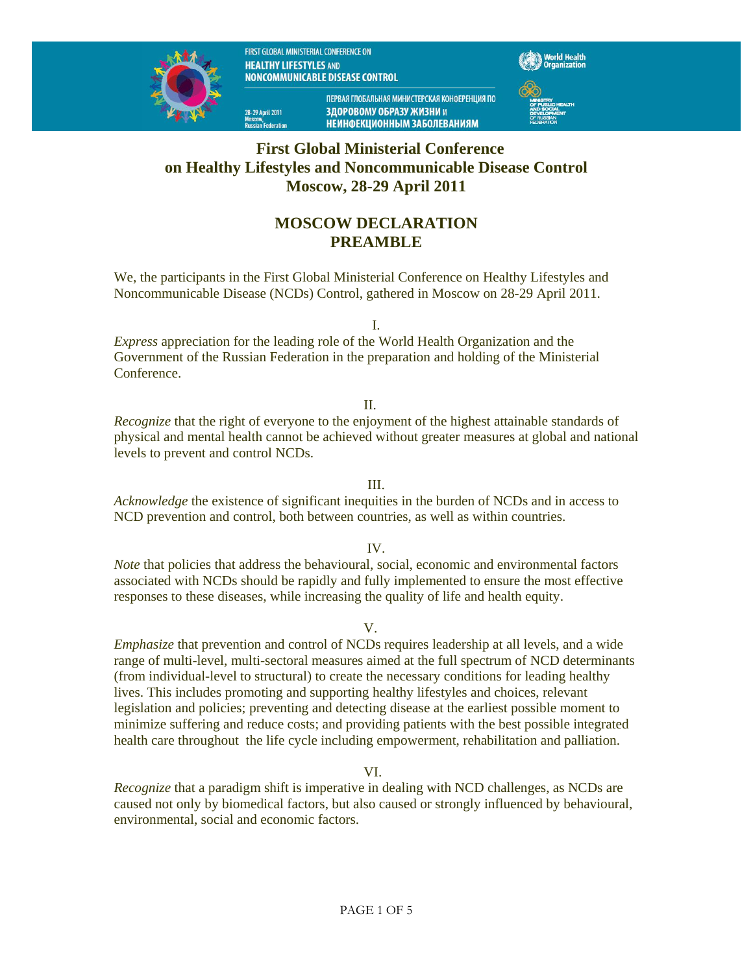FIRST GLOBAL MINISTERIAL CONFERENCE ON **HEALTHY LIFESTYLES AND** NONCOMMUNICABLE DISEASE CONTROL

28–29 April 2011<br>Moscow



ПЕРВАЯ ГЛОБАЛЬНАЯ МИНИСТЕРСКАЯ КОНФЕРЕНЦИЯ ПО ЗДОРОВОМУ ОБРАЗУ ЖИЗНИ и **НЕИНФЕКЦИОННЫМ ЗАБОЛЕВАНИЯМ** 



**First Global Ministerial Conference on Healthy Lifestyles and Noncommunicable Disease Control Moscow, 28-29 April 2011** 

# **MOSCOW DECLARATION PREAMBLE**

We, the participants in the First Global Ministerial Conference on Healthy Lifestyles and Noncommunicable Disease (NCDs) Control, gathered in Moscow on 28-29 April 2011.

I.

*Express* appreciation for the leading role of the World Health Organization and the Government of the Russian Federation in the preparation and holding of the Ministerial Conference.

#### II.

*Recognize* that the right of everyone to the enjoyment of the highest attainable standards of physical and mental health cannot be achieved without greater measures at global and national levels to prevent and control NCDs.

III.

*Acknowledge* the existence of significant inequities in the burden of NCDs and in access to NCD prevention and control, both between countries, as well as within countries.

#### IV.

*Note* that policies that address the behavioural, social, economic and environmental factors associated with NCDs should be rapidly and fully implemented to ensure the most effective responses to these diseases, while increasing the quality of life and health equity.

V.

*Emphasize* that prevention and control of NCDs requires leadership at all levels, and a wide range of multi-level, multi-sectoral measures aimed at the full spectrum of NCD determinants (from individual-level to structural) to create the necessary conditions for leading healthy lives. This includes promoting and supporting healthy lifestyles and choices, relevant legislation and policies; preventing and detecting disease at the earliest possible moment to minimize suffering and reduce costs; and providing patients with the best possible integrated health care throughout the life cycle including empowerment, rehabilitation and palliation.

VI.

*Recognize* that a paradigm shift is imperative in dealing with NCD challenges, as NCDs are caused not only by biomedical factors, but also caused or strongly influenced by behavioural, environmental, social and economic factors.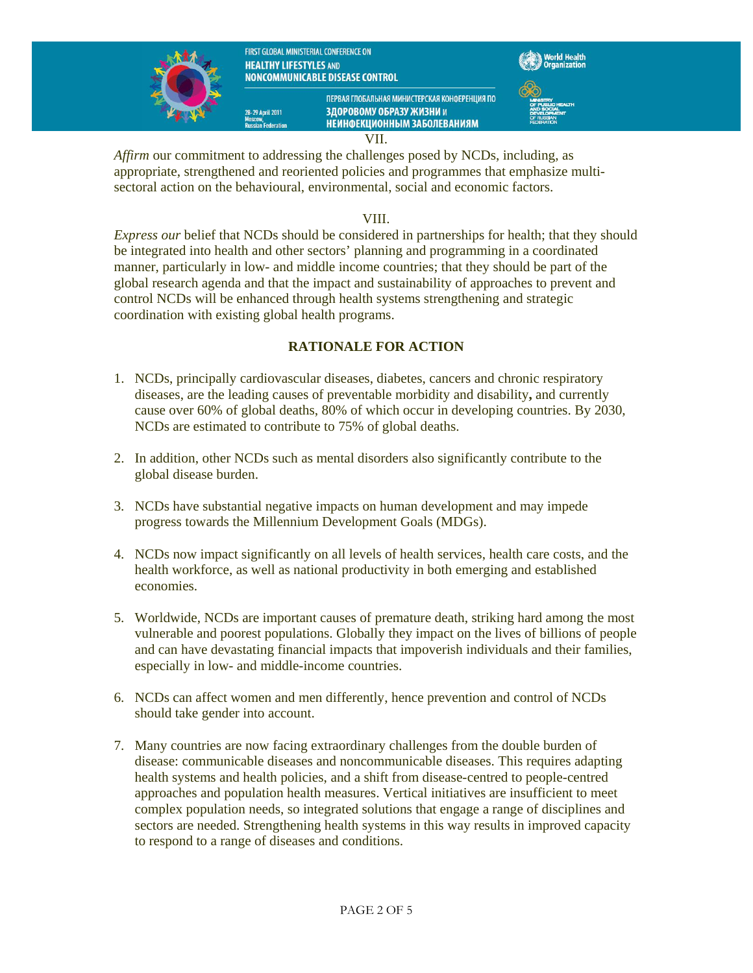

28–29 April 2011





ПЕРВАЯ ГЛОБАЛЬНАЯ МИНИСТЕРСКАЯ КОНФЕРЕНЦИЯ ПО ЗЛОРОВОМУ ОБРАЗУ ЖИЗНИ и **НЕИНФЕКЦИОННЫМ ЗАБОЛЕВАНИЯМ** 



VII.

*Affirm* our commitment to addressing the challenges posed by NCDs, including, as appropriate, strengthened and reoriented policies and programmes that emphasize multisectoral action on the behavioural, environmental, social and economic factors.

### VIII.

*Express our* belief that NCDs should be considered in partnerships for health; that they should be integrated into health and other sectors' planning and programming in a coordinated manner, particularly in low- and middle income countries; that they should be part of the global research agenda and that the impact and sustainability of approaches to prevent and control NCDs will be enhanced through health systems strengthening and strategic coordination with existing global health programs.

## **RATIONALE FOR ACTION**

- 1. NCDs, principally cardiovascular diseases, diabetes, cancers and chronic respiratory diseases, are the leading causes of preventable morbidity and disability**,** and currently cause over 60% of global deaths, 80% of which occur in developing countries. By 2030, NCDs are estimated to contribute to 75% of global deaths.
- 2. In addition, other NCDs such as mental disorders also significantly contribute to the global disease burden.
- 3. NCDs have substantial negative impacts on human development and may impede progress towards the Millennium Development Goals (MDGs).
- 4. NCDs now impact significantly on all levels of health services, health care costs, and the health workforce, as well as national productivity in both emerging and established economies.
- 5. Worldwide, NCDs are important causes of premature death, striking hard among the most vulnerable and poorest populations. Globally they impact on the lives of billions of people and can have devastating financial impacts that impoverish individuals and their families, especially in low- and middle-income countries.
- 6. NCDs can affect women and men differently, hence prevention and control of NCDs should take gender into account.
- 7. Many countries are now facing extraordinary challenges from the double burden of disease: communicable diseases and noncommunicable diseases. This requires adapting health systems and health policies, and a shift from disease-centred to people-centred approaches and population health measures. Vertical initiatives are insufficient to meet complex population needs, so integrated solutions that engage a range of disciplines and sectors are needed. Strengthening health systems in this way results in improved capacity to respond to a range of diseases and conditions.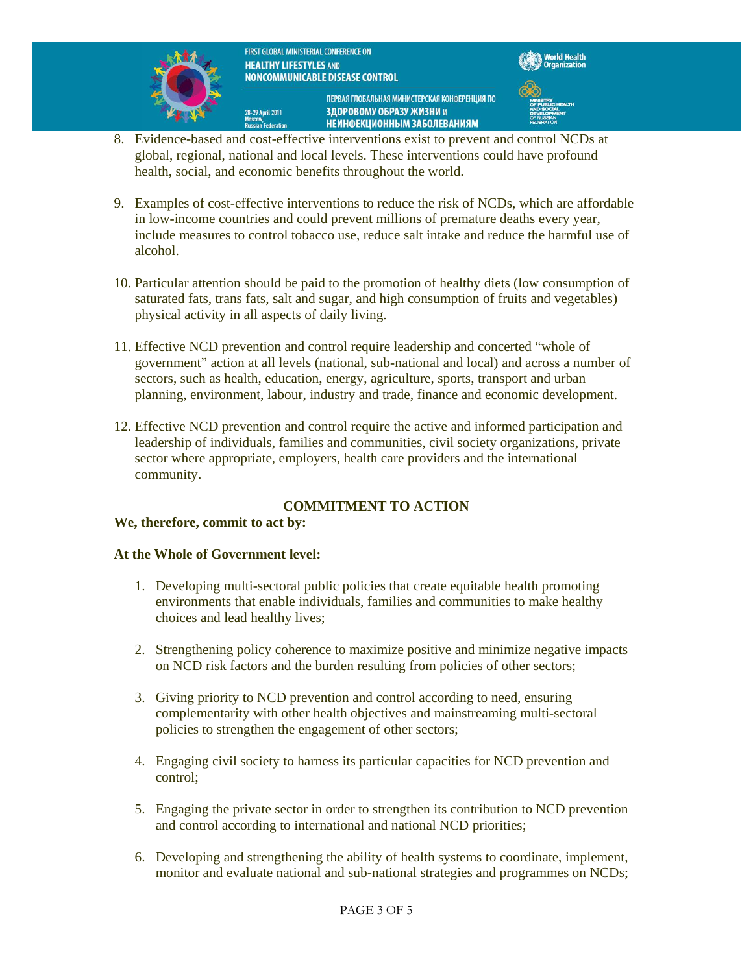

28–29 April 2011<br>Moscow,

FIRST GLOBAL MINISTERIAL CONFERENCE ON **HEALTHY LIFESTYLES AND** NONCOMMUNICABLE DISEASE CONTROL



ПЕРВАЯ ГЛОБАЛЬНАЯ МИНИСТЕРСКАЯ КОНФЕРЕНЦИЯ ПО ЗЛОРОВОМУ ОБРАЗУ ЖИЗНИ и **НЕИНФЕКЦИОННЫМ ЗАБОЛЕВАНИЯМ** 

- w,<br>ın Federation 8. Evidence-based and cost-effective interventions exist to prevent and control NCDs at global, regional, national and local levels. These interventions could have profound health, social, and economic benefits throughout the world.
- 9. Examples of cost-effective interventions to reduce the risk of NCDs, which are affordable in low-income countries and could prevent millions of premature deaths every year, include measures to control tobacco use, reduce salt intake and reduce the harmful use of alcohol.
- 10. Particular attention should be paid to the promotion of healthy diets (low consumption of saturated fats, trans fats, salt and sugar, and high consumption of fruits and vegetables) physical activity in all aspects of daily living.
- 11. Effective NCD prevention and control require leadership and concerted "whole of government" action at all levels (national, sub-national and local) and across a number of sectors, such as health, education, energy, agriculture, sports, transport and urban planning, environment, labour, industry and trade, finance and economic development.
- 12. Effective NCD prevention and control require the active and informed participation and leadership of individuals, families and communities, civil society organizations, private sector where appropriate, employers, health care providers and the international community.

## **COMMITMENT TO ACTION**

### **We, therefore, commit to act by:**

### **At the Whole of Government level:**

- 1. Developing multi-sectoral public policies that create equitable health promoting environments that enable individuals, families and communities to make healthy choices and lead healthy lives;
- 2. Strengthening policy coherence to maximize positive and minimize negative impacts on NCD risk factors and the burden resulting from policies of other sectors;
- 3. Giving priority to NCD prevention and control according to need, ensuring complementarity with other health objectives and mainstreaming multi-sectoral policies to strengthen the engagement of other sectors;
- 4. Engaging civil society to harness its particular capacities for NCD prevention and control;
- 5. Engaging the private sector in order to strengthen its contribution to NCD prevention and control according to international and national NCD priorities;
- 6. Developing and strengthening the ability of health systems to coordinate, implement, monitor and evaluate national and sub-national strategies and programmes on NCDs;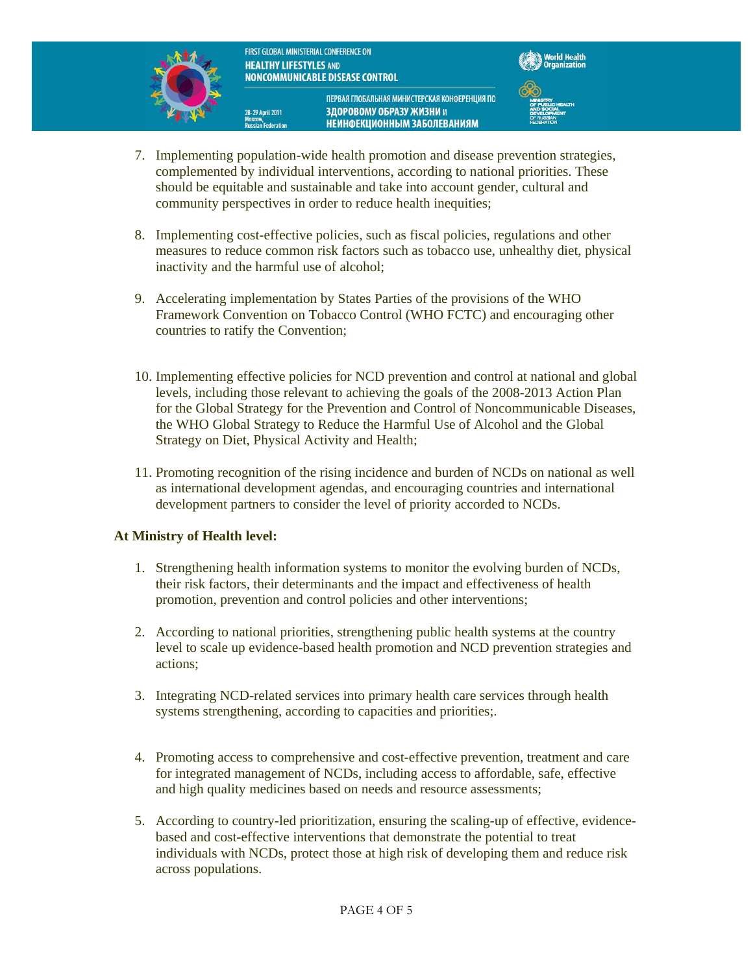FIRST GLOBAL MINISTERIAL CONFERENCE ON **HEALTHY LIFESTYLES AND** NONCOMMUNICABLE DISEASE CONTROL

28–29 April 2011



ПЕРВАЯ ГЛОБАЛЬНАЯ МИНИСТЕРСКАЯ КОНФЕРЕНЦИЯ ПО ЗДОРОВОМУ ОБРАЗУ ЖИЗНИ и



**НЕИНФЕКЦИОННЫМ ЗАБОЛЕВАНИЯМ** 

- 7. Implementing population-wide health promotion and disease prevention strategies, complemented by individual interventions, according to national priorities. These should be equitable and sustainable and take into account gender, cultural and community perspectives in order to reduce health inequities;
- 8. Implementing cost-effective policies, such as fiscal policies, regulations and other measures to reduce common risk factors such as tobacco use, unhealthy diet, physical inactivity and the harmful use of alcohol;
- 9. Accelerating implementation by States Parties of the provisions of the WHO Framework Convention on Tobacco Control (WHO FCTC) and encouraging other countries to ratify the Convention;
- 10. Implementing effective policies for NCD prevention and control at national and global levels, including those relevant to achieving the goals of the 2008-2013 Action Plan for the Global Strategy for the Prevention and Control of Noncommunicable Diseases, the WHO Global Strategy to Reduce the Harmful Use of Alcohol and the Global Strategy on Diet, Physical Activity and Health;
- 11. Promoting recognition of the rising incidence and burden of NCDs on national as well as international development agendas, and encouraging countries and international development partners to consider the level of priority accorded to NCDs.

### **At Ministry of Health level:**

- 1. Strengthening health information systems to monitor the evolving burden of NCDs, their risk factors, their determinants and the impact and effectiveness of health promotion, prevention and control policies and other interventions;
- 2. According to national priorities, strengthening public health systems at the country level to scale up evidence-based health promotion and NCD prevention strategies and actions;
- 3. Integrating NCD-related services into primary health care services through health systems strengthening, according to capacities and priorities;.
- 4. Promoting access to comprehensive and cost-effective prevention, treatment and care for integrated management of NCDs, including access to affordable, safe, effective and high quality medicines based on needs and resource assessments;
- 5. According to country-led prioritization, ensuring the scaling-up of effective, evidencebased and cost-effective interventions that demonstrate the potential to treat individuals with NCDs, protect those at high risk of developing them and reduce risk across populations.